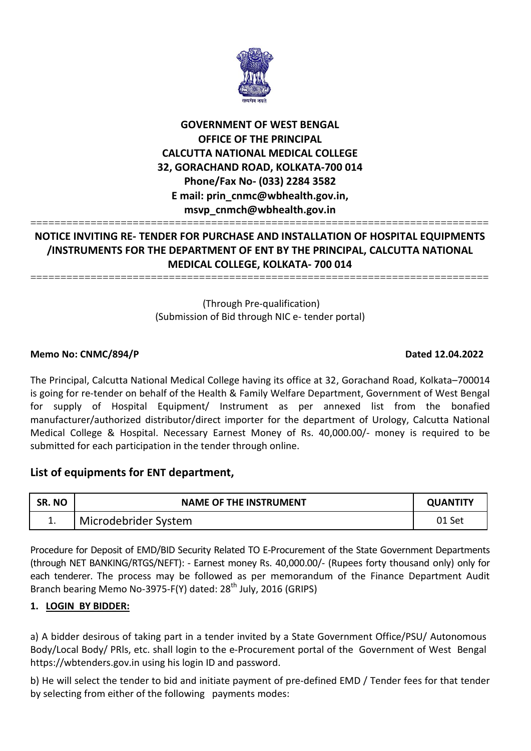

# **GOVERNMENT OF WEST BENGAL OFFICE OF THE PRINCIPAL CALCUTTA NATIONAL MEDICAL COLLEGE 32, GORACHAND ROAD, KOLKATA-700 014 Phone/Fax No- (033) 2284 3582 E mail: prin\_cnmc@wbhealth.gov.in, msvp\_cnmch@wbhealth.gov.in**

## ============================================================================ **NOTICE INVITING RE- TENDER FOR PURCHASE AND INSTALLATION OF HOSPITAL EQUIPMENTS /INSTRUMENTS FOR THE DEPARTMENT OF ENT BY THE PRINCIPAL, CALCUTTA NATIONAL MEDICAL COLLEGE, KOLKATA- 700 014**

============================================================================

(Through Pre-qualification) (Submission of Bid through NIC e- tender portal)

## **Memo No: CNMC/894/P Dated 12.04.2022**

The Principal, Calcutta National Medical College having its office at 32, Gorachand Road, Kolkata–700014 is going for re-tender on behalf of the Health & Family Welfare Department, Government of West Bengal for supply of Hospital Equipment/ Instrument as per annexed list from the bonafied manufacturer/authorized distributor/direct importer for the department of Urology, Calcutta National Medical College & Hospital. Necessary Earnest Money of Rs. 40,000.00/- money is required to be submitted for each participation in the tender through online.

# **List of equipments for ENT department,**

| SR. NO | <b>NAME OF THE INSTRUMENT</b> | <b>OUANTITY</b> |
|--------|-------------------------------|-----------------|
| д.,    | Microdebrider System          | 01 Set          |

Procedure for Deposit of EMD/BID Security Related TO E-Procurement of the State Government Departments (through NET BANKING/RTGS/NEFT): - Earnest money Rs. 40,000.00/- (Rupees forty thousand only) only for each tenderer. The process may be followed as per memorandum of the Finance Department Audit Branch bearing Memo No-3975-F(Y) dated:  $28<sup>th</sup>$  July, 2016 (GRIPS)

## **1. LOGIN BY BIDDER:**

a) A bidder desirous of taking part in a tender invited by a State Government Office/PSU/ Autonomous Body/Local Body/ PRls, etc. shall login to the e-Procurement portal of the Government of West Bengal https://wbtenders.gov.in using his login ID and password.

b) He will select the tender to bid and initiate payment of pre-defined EMD / Tender fees for that tender by selecting from either of the following payments modes: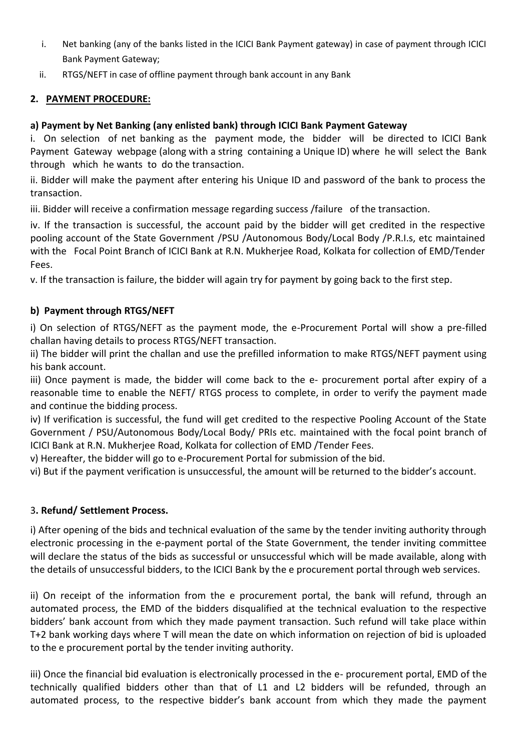- i. Net banking (any of the banks listed in the ICICI Bank Payment gateway) in case of payment through ICICI Bank Payment Gateway;
- ii. RTGS/NEFT in case of offline payment through bank account in any Bank

## **2. PAYMENT PROCEDURE:**

## **a) Payment by Net Banking (any enlisted bank) through ICICI Bank Payment Gateway**

i. On selection of net banking as the payment mode, the bidder will be directed to ICICI Bank Payment Gateway webpage (along with a string containing a Unique ID) where he will select the Bank through which he wants to do the transaction.

ii. Bidder will make the payment after entering his Unique ID and password of the bank to process the transaction.

iii. Bidder will receive a confirmation message regarding success /failure of the transaction.

iv. If the transaction is successful, the account paid by the bidder will get credited in the respective pooling account of the State Government /PSU /Autonomous Body/Local Body /P.R.I.s, etc maintained with the Focal Point Branch of ICICI Bank at R.N. Mukherjee Road, Kolkata for collection of EMD/Tender Fees.

v. If the transaction is failure, the bidder will again try for payment by going back to the first step.

## **b) Payment through RTGS/NEFT**

i) On selection of RTGS/NEFT as the payment mode, the e-Procurement Portal will show a pre-filled challan having details to process RTGS/NEFT transaction.

ii) The bidder will print the challan and use the prefilled information to make RTGS/NEFT payment using his bank account.

iii) Once payment is made, the bidder will come back to the e- procurement portal after expiry of a reasonable time to enable the NEFT/ RTGS process to complete, in order to verify the payment made and continue the bidding process.

iv) If verification is successful, the fund will get credited to the respective Pooling Account of the State Government / PSU/Autonomous Body/Local Body/ PRIs etc. maintained with the focal point branch of ICICI Bank at R.N. Mukherjee Road, Kolkata for collection of EMD /Tender Fees.

v) Hereafter, the bidder will go to e-Procurement Portal for submission of the bid.

vi) But if the payment verification is unsuccessful, the amount will be returned to the bidder's account.

## 3**. Refund/ Settlement Process.**

i) After opening of the bids and technical evaluation of the same by the tender inviting authority through electronic processing in the e-payment portal of the State Government, the tender inviting committee will declare the status of the bids as successful or unsuccessful which will be made available, along with the details of unsuccessful bidders, to the ICICI Bank by the e procurement portal through web services.

ii) On receipt of the information from the e procurement portal, the bank will refund, through an automated process, the EMD of the bidders disqualified at the technical evaluation to the respective bidders' bank account from which they made payment transaction. Such refund will take place within T+2 bank working days where T will mean the date on which information on rejection of bid is uploaded to the e procurement portal by the tender inviting authority.

iii) Once the financial bid evaluation is electronically processed in the e- procurement portal, EMD of the technically qualified bidders other than that of L1 and L2 bidders will be refunded, through an automated process, to the respective bidder's bank account from which they made the payment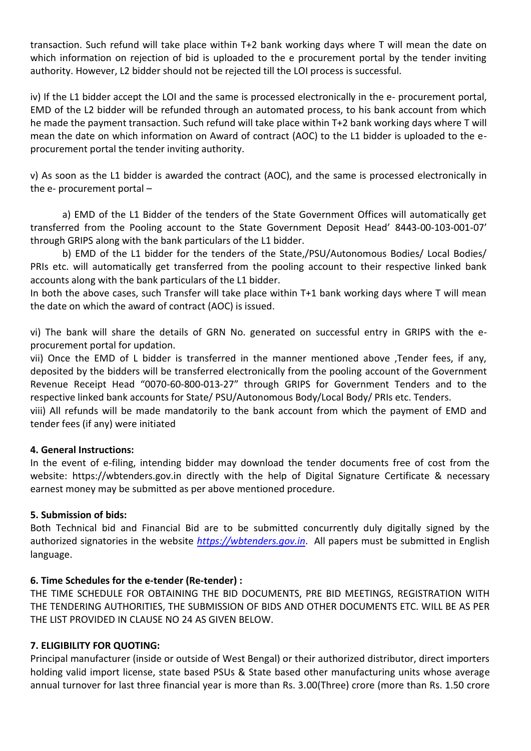transaction. Such refund will take place within T+2 bank working days where T will mean the date on which information on rejection of bid is uploaded to the e procurement portal by the tender inviting authority. However, L2 bidder should not be rejected till the LOI process is successful.

iv) If the L1 bidder accept the LOI and the same is processed electronically in the e- procurement portal, EMD of the L2 bidder will be refunded through an automated process, to his bank account from which he made the payment transaction. Such refund will take place within T+2 bank working days where T will mean the date on which information on Award of contract (AOC) to the L1 bidder is uploaded to the eprocurement portal the tender inviting authority.

v) As soon as the L1 bidder is awarded the contract (AOC), and the same is processed electronically in the e- procurement portal –

a) EMD of the L1 Bidder of the tenders of the State Government Offices will automatically get transferred from the Pooling account to the State Government Deposit Head' 8443-00-103-001-07' through GRIPS along with the bank particulars of the L1 bidder.

b) EMD of the L1 bidder for the tenders of the State,/PSU/Autonomous Bodies/ Local Bodies/ PRIs etc. will automatically get transferred from the pooling account to their respective linked bank accounts along with the bank particulars of the L1 bidder.

In both the above cases, such Transfer will take place within T+1 bank working days where T will mean the date on which the award of contract (AOC) is issued.

vi) The bank will share the details of GRN No. generated on successful entry in GRIPS with the eprocurement portal for updation.

vii) Once the EMD of L bidder is transferred in the manner mentioned above ,Tender fees, if any, deposited by the bidders will be transferred electronically from the pooling account of the Government Revenue Receipt Head "0070-60-800-013-27" through GRIPS for Government Tenders and to the respective linked bank accounts for State/ PSU/Autonomous Body/Local Body/ PRIs etc. Tenders.

viii) All refunds will be made mandatorily to the bank account from which the payment of EMD and tender fees (if any) were initiated

## **4. General Instructions:**

In the event of e-filing, intending bidder may download the tender documents free of cost from the website: https://wbtenders.gov.in directly with the help of Digital Signature Certificate & necessary earnest money may be submitted as per above mentioned procedure.

## **5. Submission of bids:**

Both Technical bid and Financial Bid are to be submitted concurrently duly digitally signed by the authorized signatories in the website *[https://wbtenders.gov.in](https://wbtenders.gov.in/)*. All papers must be submitted in English language.

## **6. Time Schedules for the e-tender (Re-tender) :**

THE TIME SCHEDULE FOR OBTAINING THE BID DOCUMENTS, PRE BID MEETINGS, REGISTRATION WITH THE TENDERING AUTHORITIES, THE SUBMISSION OF BIDS AND OTHER DOCUMENTS ETC. WILL BE AS PER THE LIST PROVIDED IN CLAUSE NO 24 AS GIVEN BELOW.

## **7. ELIGIBILITY FOR QUOTING:**

Principal manufacturer (inside or outside of West Bengal) or their authorized distributor, direct importers holding valid import license, state based PSUs & State based other manufacturing units whose average annual turnover for last three financial year is more than Rs. 3.00(Three) crore (more than Rs. 1.50 crore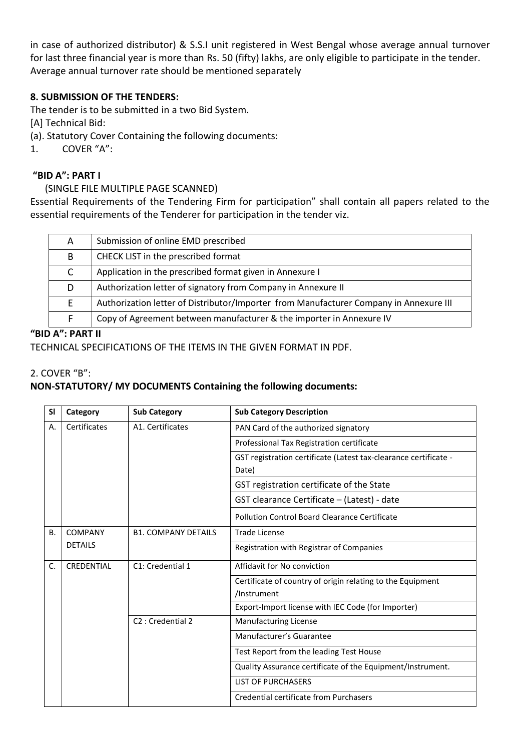in case of authorized distributor) & S.S.I unit registered in West Bengal whose average annual turnover for last three financial year is more than Rs. 50 (fifty) lakhs, are only eligible to participate in the tender. Average annual turnover rate should be mentioned separately

## **8. SUBMISSION OF THE TENDERS:**

The tender is to be submitted in a two Bid System.

[A] Technical Bid:

(a). Statutory Cover Containing the following documents:

1. COVER "A":

## **"BID A": PART I**

## (SINGLE FILE MULTIPLE PAGE SCANNED)

Essential Requirements of the Tendering Firm for participation" shall contain all papers related to the essential requirements of the Tenderer for participation in the tender viz.

| A | Submission of online EMD prescribed                                                    |
|---|----------------------------------------------------------------------------------------|
| B | CHECK LIST in the prescribed format                                                    |
|   | Application in the prescribed format given in Annexure I                               |
| D | Authorization letter of signatory from Company in Annexure II                          |
|   | Authorization letter of Distributor/Importer from Manufacturer Company in Annexure III |
|   | Copy of Agreement between manufacturer & the importer in Annexure IV                   |
|   |                                                                                        |

## **"BID A": PART II**

TECHNICAL SPECIFICATIONS OF THE ITEMS IN THE GIVEN FORMAT IN PDF.

### 2. COVER "B":

## **NON-STATUTORY/ MY DOCUMENTS Containing the following documents:**

| SI        | Category       | <b>Sub Category</b>           | <b>Sub Category Description</b>                                           |
|-----------|----------------|-------------------------------|---------------------------------------------------------------------------|
| Α.        | Certificates   | A1. Certificates              | PAN Card of the authorized signatory                                      |
|           |                |                               | Professional Tax Registration certificate                                 |
|           |                |                               | GST registration certificate (Latest tax-clearance certificate -<br>Date) |
|           |                |                               | GST registration certificate of the State                                 |
|           |                |                               | GST clearance Certificate - (Latest) - date                               |
|           |                |                               | Pollution Control Board Clearance Certificate                             |
| <b>B.</b> | <b>COMPANY</b> | <b>B1. COMPANY DETAILS</b>    | <b>Trade License</b>                                                      |
|           | <b>DETAILS</b> |                               | Registration with Registrar of Companies                                  |
| C.        | CREDENTIAL     | C1: Credential 1              | Affidavit for No conviction                                               |
|           |                |                               | Certificate of country of origin relating to the Equipment                |
|           |                |                               | /Instrument                                                               |
|           |                |                               | Export-Import license with IEC Code (for Importer)                        |
|           |                | C <sub>2</sub> : Credential 2 | <b>Manufacturing License</b>                                              |
|           |                |                               | Manufacturer's Guarantee                                                  |
|           |                |                               | Test Report from the leading Test House                                   |
|           |                |                               | Quality Assurance certificate of the Equipment/Instrument.                |
|           |                |                               | <b>LIST OF PURCHASERS</b>                                                 |
|           |                |                               | Credential certificate from Purchasers                                    |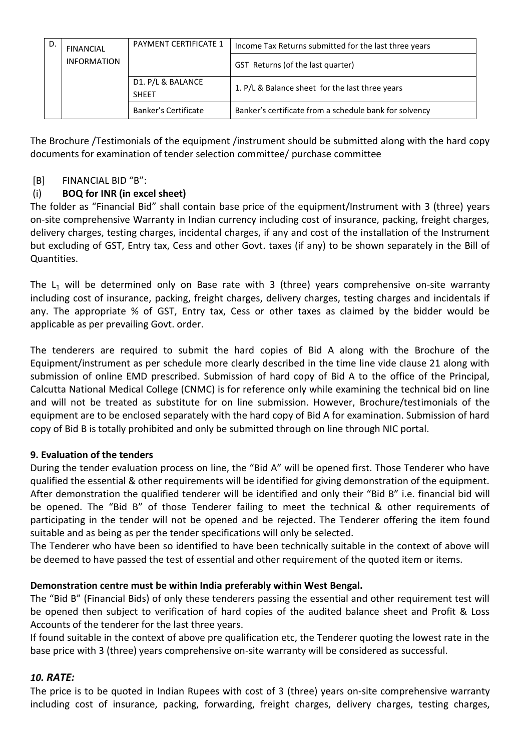| D.                 | <b>FINANCIAL</b> | <b>PAYMENT CERTIFICATE 1</b>      | Income Tax Returns submitted for the last three years  |
|--------------------|------------------|-----------------------------------|--------------------------------------------------------|
| <b>INFORMATION</b> |                  |                                   | GST Returns (of the last quarter)                      |
|                    |                  | D1. P/L & BALANCE<br><b>SHEET</b> | 1. P/L & Balance sheet for the last three years        |
|                    |                  | Banker's Certificate              | Banker's certificate from a schedule bank for solvency |

The Brochure /Testimonials of the equipment /instrument should be submitted along with the hard copy documents for examination of tender selection committee/ purchase committee

## [B] FINANCIAL BID "B":

## (i) **BOQ for INR (in excel sheet)**

The folder as "Financial Bid" shall contain base price of the equipment/Instrument with 3 (three) years on-site comprehensive Warranty in Indian currency including cost of insurance, packing, freight charges, delivery charges, testing charges, incidental charges, if any and cost of the installation of the Instrument but excluding of GST, Entry tax, Cess and other Govt. taxes (if any) to be shown separately in the Bill of Quantities.

The  $L_1$  will be determined only on Base rate with 3 (three) years comprehensive on-site warranty including cost of insurance, packing, freight charges, delivery charges, testing charges and incidentals if any. The appropriate % of GST, Entry tax, Cess or other taxes as claimed by the bidder would be applicable as per prevailing Govt. order.

The tenderers are required to submit the hard copies of Bid A along with the Brochure of the Equipment/instrument as per schedule more clearly described in the time line vide clause 21 along with submission of online EMD prescribed. Submission of hard copy of Bid A to the office of the Principal, Calcutta National Medical College (CNMC) is for reference only while examining the technical bid on line and will not be treated as substitute for on line submission. However, Brochure/testimonials of the equipment are to be enclosed separately with the hard copy of Bid A for examination. Submission of hard copy of Bid B is totally prohibited and only be submitted through on line through NIC portal.

## **9. Evaluation of the tenders**

During the tender evaluation process on line, the "Bid A" will be opened first. Those Tenderer who have qualified the essential & other requirements will be identified for giving demonstration of the equipment. After demonstration the qualified tenderer will be identified and only their "Bid B" i.e. financial bid will be opened. The "Bid B" of those Tenderer failing to meet the technical & other requirements of participating in the tender will not be opened and be rejected. The Tenderer offering the item found suitable and as being as per the tender specifications will only be selected.

The Tenderer who have been so identified to have been technically suitable in the context of above will be deemed to have passed the test of essential and other requirement of the quoted item or items.

## **Demonstration centre must be within India preferably within West Bengal.**

The "Bid B" (Financial Bids) of only these tenderers passing the essential and other requirement test will be opened then subject to verification of hard copies of the audited balance sheet and Profit & Loss Accounts of the tenderer for the last three years.

If found suitable in the context of above pre qualification etc, the Tenderer quoting the lowest rate in the base price with 3 (three) years comprehensive on-site warranty will be considered as successful.

## *10. RATE:*

The price is to be quoted in Indian Rupees with cost of 3 (three) years on-site comprehensive warranty including cost of insurance, packing, forwarding, freight charges, delivery charges, testing charges,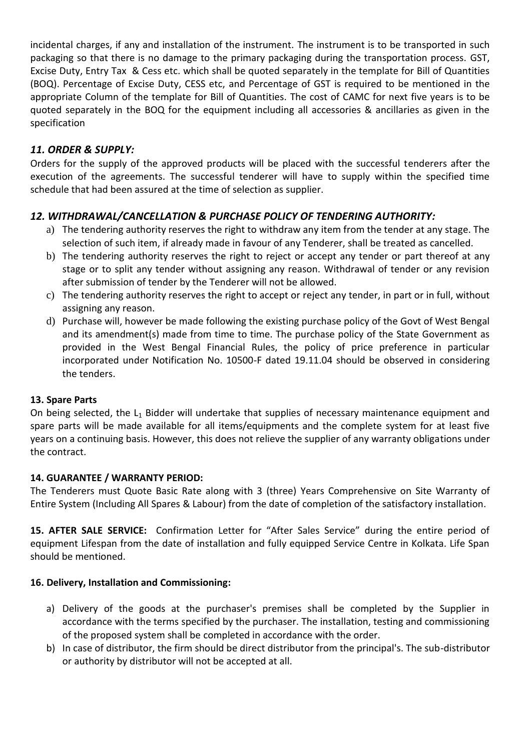incidental charges, if any and installation of the instrument. The instrument is to be transported in such packaging so that there is no damage to the primary packaging during the transportation process. GST, Excise Duty, Entry Tax & Cess etc. which shall be quoted separately in the template for Bill of Quantities (BOQ). Percentage of Excise Duty, CESS etc, and Percentage of GST is required to be mentioned in the appropriate Column of the template for Bill of Quantities. The cost of CAMC for next five years is to be quoted separately in the BOQ for the equipment including all accessories & ancillaries as given in the specification

## *11. ORDER & SUPPLY:*

Orders for the supply of the approved products will be placed with the successful tenderers after the execution of the agreements. The successful tenderer will have to supply within the specified time schedule that had been assured at the time of selection as supplier.

## *12. WITHDRAWAL/CANCELLATION & PURCHASE POLICY OF TENDERING AUTHORITY:*

- a) The tendering authority reserves the right to withdraw any item from the tender at any stage. The selection of such item, if already made in favour of any Tenderer, shall be treated as cancelled.
- b) The tendering authority reserves the right to reject or accept any tender or part thereof at any stage or to split any tender without assigning any reason. Withdrawal of tender or any revision after submission of tender by the Tenderer will not be allowed.
- c) The tendering authority reserves the right to accept or reject any tender, in part or in full, without assigning any reason.
- d) Purchase will, however be made following the existing purchase policy of the Govt of West Bengal and its amendment(s) made from time to time. The purchase policy of the State Government as provided in the West Bengal Financial Rules, the policy of price preference in particular incorporated under Notification No. 10500-F dated 19.11.04 should be observed in considering the tenders.

## **13. Spare Parts**

On being selected, the L<sub>1</sub> Bidder will undertake that supplies of necessary maintenance equipment and spare parts will be made available for all items/equipments and the complete system for at least five years on a continuing basis. However, this does not relieve the supplier of any warranty obligations under the contract.

## **14. GUARANTEE / WARRANTY PERIOD:**

The Tenderers must Quote Basic Rate along with 3 (three) Years Comprehensive on Site Warranty of Entire System (Including All Spares & Labour) from the date of completion of the satisfactory installation.

**15. AFTER SALE SERVICE:** Confirmation Letter for "After Sales Service" during the entire period of equipment Lifespan from the date of installation and fully equipped Service Centre in Kolkata. Life Span should be mentioned.

## **16. Delivery, Installation and Commissioning:**

- a) Delivery of the goods at the purchaser's premises shall be completed by the Supplier in accordance with the terms specified by the purchaser. The installation, testing and commissioning of the proposed system shall be completed in accordance with the order.
- b) In case of distributor, the firm should be direct distributor from the principal's. The sub-distributor or authority by distributor will not be accepted at all.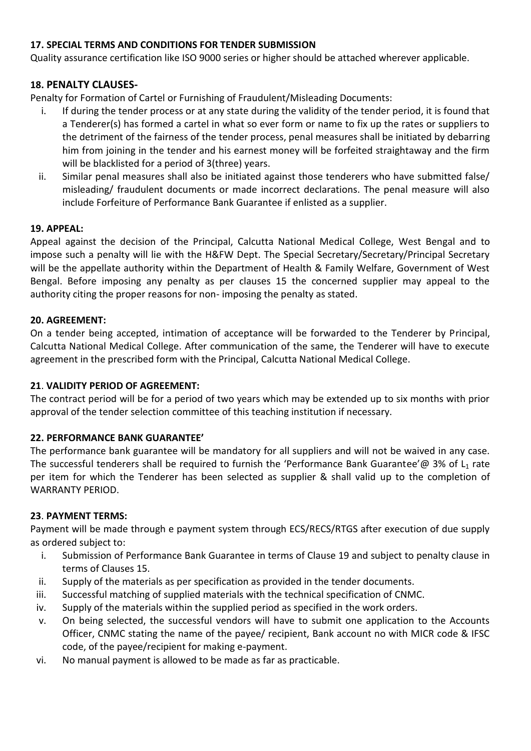## **17. SPECIAL TERMS AND CONDITIONS FOR TENDER SUBMISSION**

Quality assurance certification like ISO 9000 series or higher should be attached wherever applicable.

## **18. PENALTY CLAUSES-**

Penalty for Formation of Cartel or Furnishing of Fraudulent/Misleading Documents:

- i. If during the tender process or at any state during the validity of the tender period, it is found that a Tenderer(s) has formed a cartel in what so ever form or name to fix up the rates or suppliers to the detriment of the fairness of the tender process, penal measures shall be initiated by debarring him from joining in the tender and his earnest money will be forfeited straightaway and the firm will be blacklisted for a period of 3(three) years.
- ii. Similar penal measures shall also be initiated against those tenderers who have submitted false/ misleading/ fraudulent documents or made incorrect declarations. The penal measure will also include Forfeiture of Performance Bank Guarantee if enlisted as a supplier.

## **19. APPEAL:**

Appeal against the decision of the Principal, Calcutta National Medical College, West Bengal and to impose such a penalty will lie with the H&FW Dept. The Special Secretary/Secretary/Principal Secretary will be the appellate authority within the Department of Health & Family Welfare, Government of West Bengal. Before imposing any penalty as per clauses 15 the concerned supplier may appeal to the authority citing the proper reasons for non- imposing the penalty as stated.

#### **20. AGREEMENT:**

On a tender being accepted, intimation of acceptance will be forwarded to the Tenderer by Principal, Calcutta National Medical College. After communication of the same, the Tenderer will have to execute agreement in the prescribed form with the Principal, Calcutta National Medical College.

## **21**. **VALIDITY PERIOD OF AGREEMENT:**

The contract period will be for a period of two years which may be extended up to six months with prior approval of the tender selection committee of this teaching institution if necessary.

## **22. PERFORMANCE BANK GUARANTEE'**

The performance bank guarantee will be mandatory for all suppliers and will not be waived in any case. The successful tenderers shall be required to furnish the 'Performance Bank Guarantee'@ 3% of  $L_1$  rate per item for which the Tenderer has been selected as supplier & shall valid up to the completion of WARRANTY PERIOD.

#### **23**. **PAYMENT TERMS:**

Payment will be made through e payment system through ECS/RECS/RTGS after execution of due supply as ordered subject to:

- i. Submission of Performance Bank Guarantee in terms of Clause 19 and subject to penalty clause in terms of Clauses 15.
- ii. Supply of the materials as per specification as provided in the tender documents.
- iii. Successful matching of supplied materials with the technical specification of CNMC.
- iv. Supply of the materials within the supplied period as specified in the work orders.
- v. On being selected, the successful vendors will have to submit one application to the Accounts Officer, CNMC stating the name of the payee/ recipient, Bank account no with MICR code & IFSC code, of the payee/recipient for making e-payment.
- vi. No manual payment is allowed to be made as far as practicable.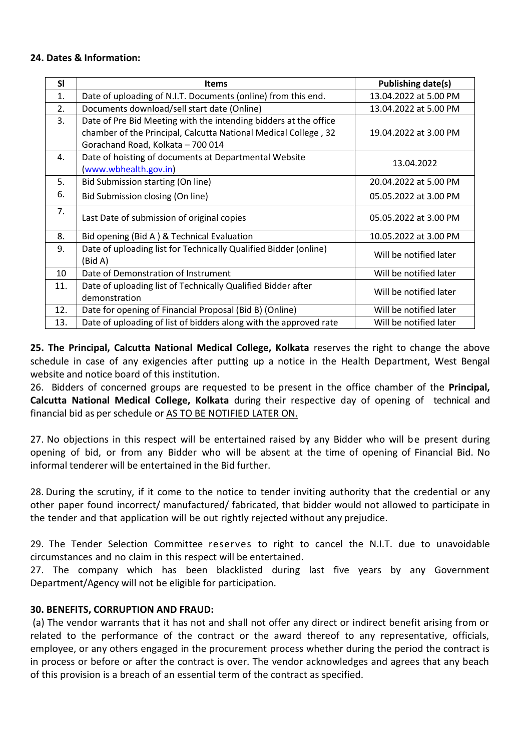#### **24. Dates & Information:**

| <b>SI</b> | <b>Items</b>                                                                                                                        | Publishing date(s)     |
|-----------|-------------------------------------------------------------------------------------------------------------------------------------|------------------------|
| 1.        | Date of uploading of N.I.T. Documents (online) from this end.                                                                       | 13.04.2022 at 5.00 PM  |
| 2.        | Documents download/sell start date (Online)                                                                                         | 13.04.2022 at 5.00 PM  |
| 3.        | Date of Pre Bid Meeting with the intending bidders at the office<br>chamber of the Principal, Calcutta National Medical College, 32 | 19.04.2022 at 3.00 PM  |
|           | Gorachand Road, Kolkata - 700 014                                                                                                   |                        |
| 4.        | Date of hoisting of documents at Departmental Website<br>(www.wbhealth.gov.in)                                                      | 13.04.2022             |
| 5.        | Bid Submission starting (On line)                                                                                                   | 20.04.2022 at 5.00 PM  |
| 6.        | Bid Submission closing (On line)                                                                                                    | 05.05.2022 at 3.00 PM  |
| 7.        | Last Date of submission of original copies                                                                                          | 05.05.2022 at 3.00 PM  |
| 8.        | Bid opening (Bid A) & Technical Evaluation                                                                                          | 10.05.2022 at 3.00 PM  |
| 9.        | Date of uploading list for Technically Qualified Bidder (online)<br>(Bid A)                                                         | Will be notified later |
| 10        | Date of Demonstration of Instrument                                                                                                 | Will be notified later |
| 11.       | Date of uploading list of Technically Qualified Bidder after<br>demonstration                                                       | Will be notified later |
| 12.       | Date for opening of Financial Proposal (Bid B) (Online)                                                                             | Will be notified later |
| 13.       | Date of uploading of list of bidders along with the approved rate                                                                   | Will be notified later |

**25. The Principal, Calcutta National Medical College, Kolkata** reserves the right to change the above schedule in case of any exigencies after putting up a notice in the Health Department, West Bengal website and notice board of this institution.

26. Bidders of concerned groups are requested to be present in the office chamber of the **Principal, Calcutta National Medical College, Kolkata** during their respective day of opening of technical and financial bid as per schedule or AS TO BE NOTIFIED LATER ON.

27. No objections in this respect will be entertained raised by any Bidder who will be present during opening of bid, or from any Bidder who will be absent at the time of opening of Financial Bid. No informal tenderer will be entertained in the Bid further.

28. During the scrutiny, if it come to the notice to tender inviting authority that the credential or any other paper found incorrect/ manufactured/ fabricated, that bidder would not allowed to participate in the tender and that application will be out rightly rejected without any prejudice.

29. The Tender Selection Committee reserves to right to cancel the N.I.T. due to unavoidable circumstances and no claim in this respect will be entertained.

27. The company which has been blacklisted during last five years by any Government Department/Agency will not be eligible for participation.

## **30. BENEFITS, CORRUPTION AND FRAUD:**

(a) The vendor warrants that it has not and shall not offer any direct or indirect benefit arising from or related to the performance of the contract or the award thereof to any representative, officials, employee, or any others engaged in the procurement process whether during the period the contract is in process or before or after the contract is over. The vendor acknowledges and agrees that any beach of this provision is a breach of an essential term of the contract as specified.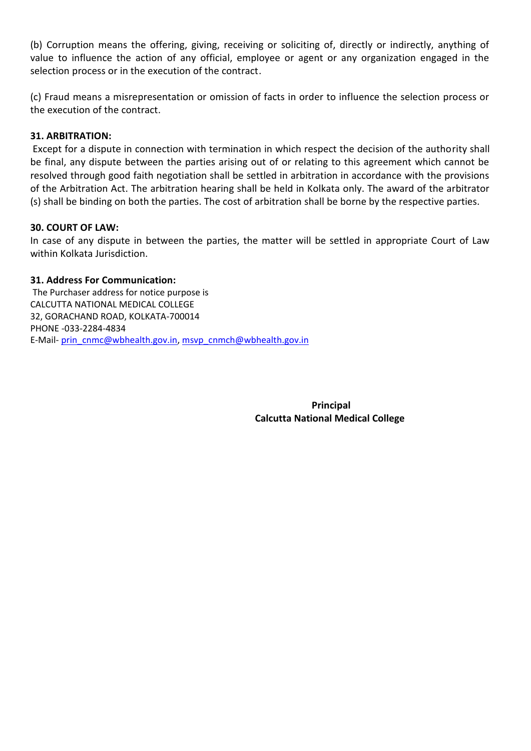(b) Corruption means the offering, giving, receiving or soliciting of, directly or indirectly, anything of value to influence the action of any official, employee or agent or any organization engaged in the selection process or in the execution of the contract.

(c) Fraud means a misrepresentation or omission of facts in order to influence the selection process or the execution of the contract.

#### **31. ARBITRATION:**

Except for a dispute in connection with termination in which respect the decision of the authority shall be final, any dispute between the parties arising out of or relating to this agreement which cannot be resolved through good faith negotiation shall be settled in arbitration in accordance with the provisions of the Arbitration Act. The arbitration hearing shall be held in Kolkata only. The award of the arbitrator (s) shall be binding on both the parties. The cost of arbitration shall be borne by the respective parties.

#### **30. COURT OF LAW:**

In case of any dispute in between the parties, the matter will be settled in appropriate Court of Law within Kolkata Jurisdiction.

#### **31. Address For Communication:**

The Purchaser address for notice purpose is CALCUTTA NATIONAL MEDICAL COLLEGE 32, GORACHAND ROAD, KOLKATA-700014 PHONE -033-2284-4834 E-Mail- [prin\\_cnmc@wbhealth.gov.in,](mailto:prin_cnmc@wbhealth.gov.in) [msvp\\_cnmch@wbhealth.gov.in](mailto:msvp_cnmch@wbhealth.gov.in)

> **Principal Calcutta National Medical College**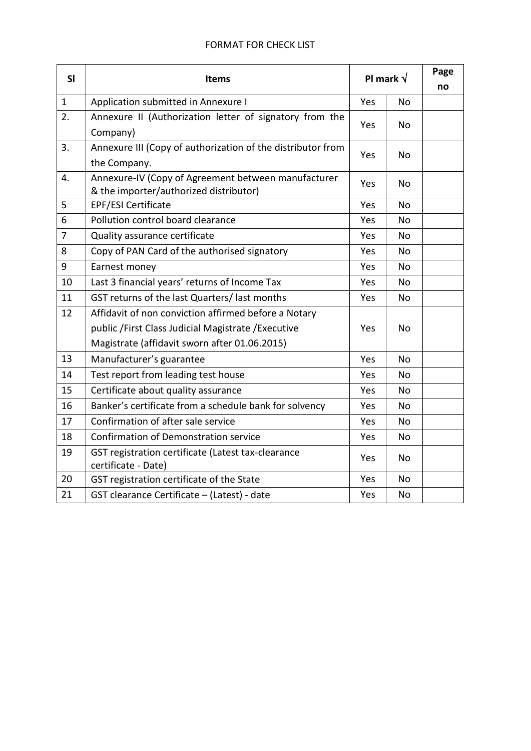### FORMAT FOR CHECK LIST

| SI             | <b>Items</b>                                                                                  | PI mark $\sqrt{}$ |                | Page<br>no |
|----------------|-----------------------------------------------------------------------------------------------|-------------------|----------------|------------|
| $\mathbf{1}$   | Application submitted in Annexure I                                                           | Yes               | N <sub>o</sub> |            |
| 2.             | Annexure II (Authorization letter of signatory from the<br>Company)                           | Yes               | No             |            |
| 3.             | Annexure III (Copy of authorization of the distributor from                                   |                   |                |            |
|                | the Company.                                                                                  | Yes               | N <sub>o</sub> |            |
| 4.             | Annexure-IV (Copy of Agreement between manufacturer<br>& the importer/authorized distributor) | Yes               | No             |            |
| 5              | <b>EPF/ESI Certificate</b>                                                                    | Yes               | No             |            |
| 6              | Pollution control board clearance                                                             | Yes               | No             |            |
| $\overline{7}$ | Quality assurance certificate                                                                 | Yes               | <b>No</b>      |            |
| 8              | Copy of PAN Card of the authorised signatory                                                  | Yes               | No             |            |
| 9              | Earnest money                                                                                 | Yes               | <b>No</b>      |            |
| 10             | Last 3 financial years' returns of Income Tax                                                 | Yes               | No             |            |
| 11             | GST returns of the last Quarters/ last months                                                 | Yes               | <b>No</b>      |            |
| 12             | Affidavit of non conviction affirmed before a Notary                                          |                   |                |            |
|                | public / First Class Judicial Magistrate / Executive                                          | Yes               | <b>No</b>      |            |
|                | Magistrate (affidavit sworn after 01.06.2015)                                                 |                   |                |            |
| 13             | Manufacturer's guarantee                                                                      | Yes               | <b>No</b>      |            |
| 14             | Test report from leading test house                                                           | Yes               | N <sub>o</sub> |            |
| 15             | Certificate about quality assurance                                                           | Yes               | No             |            |
| 16             | Banker's certificate from a schedule bank for solvency                                        | Yes               | No             |            |
| 17             | Confirmation of after sale service                                                            | Yes               | No             |            |
| 18             | Confirmation of Demonstration service                                                         | Yes               | No             |            |
| 19             | GST registration certificate (Latest tax-clearance<br>certificate - Date)                     | Yes               | No.            |            |
| 20             | GST registration certificate of the State                                                     | Yes               | <b>No</b>      |            |
| 21             | GST clearance Certificate - (Latest) - date                                                   | Yes               | <b>No</b>      |            |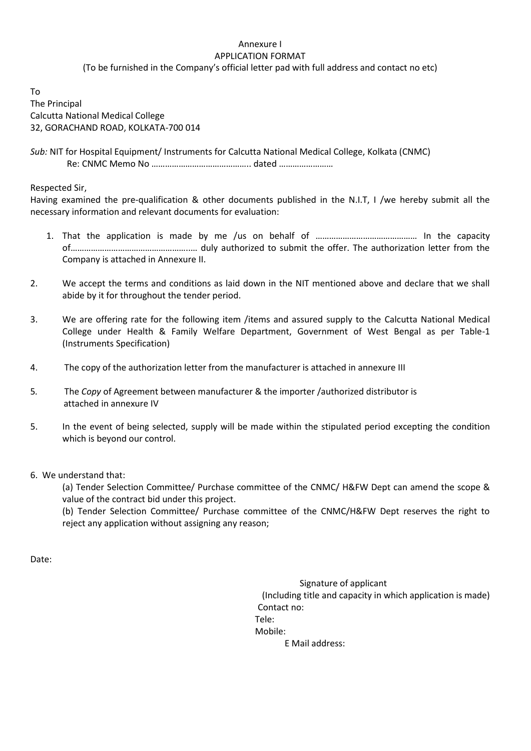#### Annexure I APPLICATION FORMAT

(To be furnished in the Company's official letter pad with full address and contact no etc)

To The Principal Calcutta National Medical College 32, GORACHAND ROAD, KOLKATA-700 014

*Sub:* NIT for Hospital Equipment/ Instruments for Calcutta National Medical College, Kolkata (CNMC) Re: CNMC Memo No …………………………………….. dated ……………………

Respected Sir,

Having examined the pre-qualification & other documents published in the N.I.T, I /we hereby submit all the necessary information and relevant documents for evaluation:

- 1. That the application is made by me /us on behalf of ……………………………………… In the capacity of……………………………………………..… duly authorized to submit the offer. The authorization letter from the Company is attached in Annexure II.
- 2. We accept the terms and conditions as laid down in the NIT mentioned above and declare that we shall abide by it for throughout the tender period.
- 3. We are offering rate for the following item /items and assured supply to the Calcutta National Medical College under Health & Family Welfare Department, Government of West Bengal as per Table-1 (Instruments Specification)
- 4. The copy of the authorization letter from the manufacturer is attached in annexure III
- 5*.* The *Copy* of Agreement between manufacturer & the importer /authorized distributor is attached in annexure IV
- 5. In the event of being selected, supply will be made within the stipulated period excepting the condition which is beyond our control.

6. We understand that:

(a) Tender Selection Committee/ Purchase committee of the CNMC/ H&FW Dept can amend the scope & value of the contract bid under this project.

(b) Tender Selection Committee/ Purchase committee of the CNMC/H&FW Dept reserves the right to reject any application without assigning any reason;

Date:

 Signature of applicant (Including title and capacity in which application is made) Contact no: Tele: Mobile: E Mail address: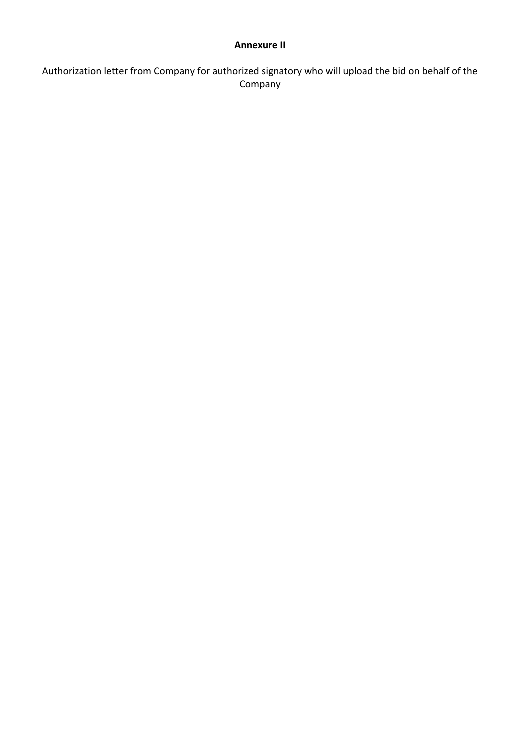#### **Annexure II**

Authorization letter from Company for authorized signatory who will upload the bid on behalf of the Company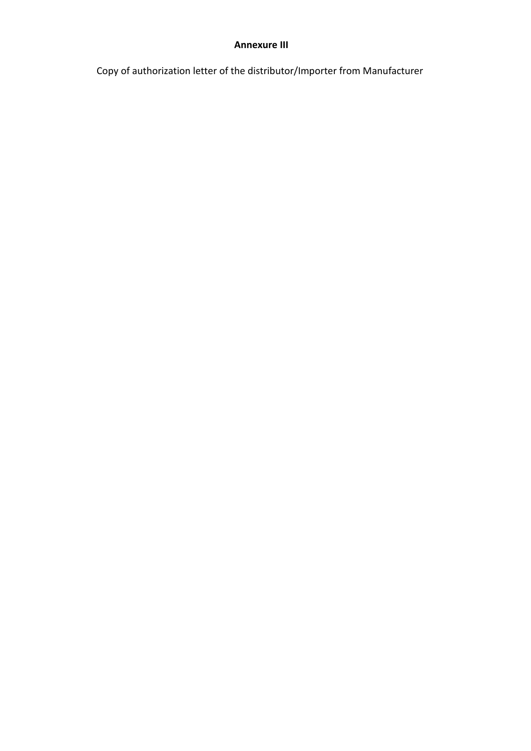#### **Annexure III**

Copy of authorization letter of the distributor/Importer from Manufacturer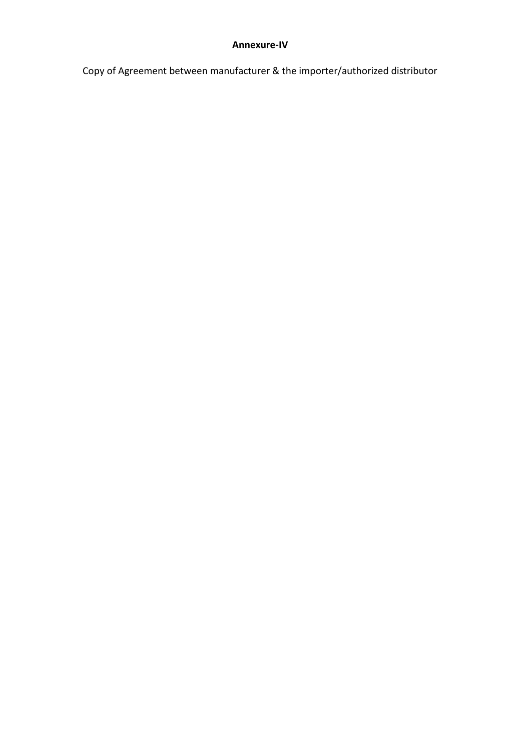#### **Annexure-IV**

Copy of Agreement between manufacturer & the importer/authorized distributor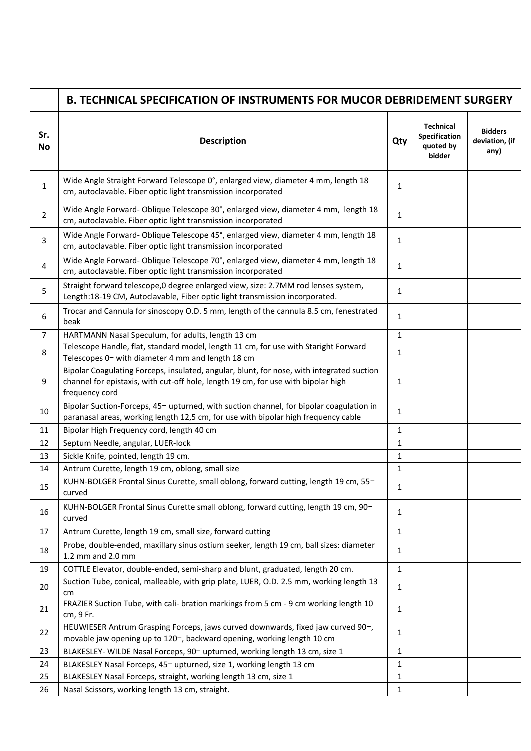|                  | <b>B. TECHNICAL SPECIFICATION OF INSTRUMENTS FOR MUCOR DEBRIDEMENT SURGERY</b>                                                                                                                   |     |                                                          |                                          |
|------------------|--------------------------------------------------------------------------------------------------------------------------------------------------------------------------------------------------|-----|----------------------------------------------------------|------------------------------------------|
| Sr.<br><b>No</b> | <b>Description</b>                                                                                                                                                                               | Qty | <b>Technical</b><br>Specification<br>quoted by<br>bidder | <b>Bidders</b><br>deviation, (if<br>any) |
| 1                | Wide Angle Straight Forward Telescope 0°, enlarged view, diameter 4 mm, length 18<br>cm, autoclavable. Fiber optic light transmission incorporated                                               | 1   |                                                          |                                          |
| 2                | Wide Angle Forward- Oblique Telescope 30°, enlarged view, diameter 4 mm, length 18<br>cm, autoclavable. Fiber optic light transmission incorporated                                              | 1   |                                                          |                                          |
| 3                | Wide Angle Forward- Oblique Telescope 45°, enlarged view, diameter 4 mm, length 18<br>cm, autoclavable. Fiber optic light transmission incorporated                                              | 1   |                                                          |                                          |
| 4                | Wide Angle Forward- Oblique Telescope 70°, enlarged view, diameter 4 mm, length 18<br>cm, autoclavable. Fiber optic light transmission incorporated                                              | 1   |                                                          |                                          |
| 5                | Straight forward telescope, 0 degree enlarged view, size: 2.7MM rod lenses system,<br>Length:18-19 CM, Autoclavable, Fiber optic light transmission incorporated.                                | 1   |                                                          |                                          |
| 6                | Trocar and Cannula for sinoscopy O.D. 5 mm, length of the cannula 8.5 cm, fenestrated<br>beak                                                                                                    | 1   |                                                          |                                          |
| $\overline{7}$   | HARTMANN Nasal Speculum, for adults, length 13 cm                                                                                                                                                | 1   |                                                          |                                          |
| 8                | Telescope Handle, flat, standard model, length 11 cm, for use with Staright Forward<br>Telescopes 0- with diameter 4 mm and length 18 cm                                                         | 1   |                                                          |                                          |
| 9                | Bipolar Coagulating Forceps, insulated, angular, blunt, for nose, with integrated suction<br>channel for epistaxis, with cut-off hole, length 19 cm, for use with bipolar high<br>frequency cord | 1   |                                                          |                                          |
| 10               | Bipolar Suction-Forceps, 45- upturned, with suction channel, for bipolar coagulation in<br>paranasal areas, working length 12,5 cm, for use with bipolar high frequency cable                    | 1   |                                                          |                                          |
| 11               | Bipolar High Frequency cord, length 40 cm                                                                                                                                                        | 1   |                                                          |                                          |
| 12               | Septum Needle, angular, LUER-lock                                                                                                                                                                | 1   |                                                          |                                          |
| 13               | Sickle Knife, pointed, length 19 cm.                                                                                                                                                             | 1   |                                                          |                                          |
| 14               | Antrum Curette, length 19 cm, oblong, small size                                                                                                                                                 | 1   |                                                          |                                          |
| 15               | KUHN-BOLGER Frontal Sinus Curette, small oblong, forward cutting, length 19 cm, 55-<br>curved                                                                                                    | 1   |                                                          |                                          |
| 16               | KUHN-BOLGER Frontal Sinus Curette small oblong, forward cutting, length 19 cm, 90-<br>curved                                                                                                     | 1   |                                                          |                                          |
| 17               | Antrum Curette, length 19 cm, small size, forward cutting                                                                                                                                        | 1   |                                                          |                                          |
| 18               | Probe, double-ended, maxillary sinus ostium seeker, length 19 cm, ball sizes: diameter<br>1.2 mm and 2.0 mm                                                                                      | 1   |                                                          |                                          |
| 19               | COTTLE Elevator, double-ended, semi-sharp and blunt, graduated, length 20 cm.                                                                                                                    | 1   |                                                          |                                          |
| 20               | Suction Tube, conical, malleable, with grip plate, LUER, O.D. 2.5 mm, working length 13<br>cm                                                                                                    | 1   |                                                          |                                          |
| 21               | FRAZIER Suction Tube, with cali- bration markings from 5 cm - 9 cm working length 10<br>cm, 9 Fr.                                                                                                | 1   |                                                          |                                          |
| 22               | HEUWIESER Antrum Grasping Forceps, jaws curved downwards, fixed jaw curved 90-,<br>movable jaw opening up to 120-, backward opening, working length 10 cm                                        | 1   |                                                          |                                          |
| 23               | BLAKESLEY- WILDE Nasal Forceps, 90- upturned, working length 13 cm, size 1                                                                                                                       | 1   |                                                          |                                          |
| 24               | BLAKESLEY Nasal Forceps, 45- upturned, size 1, working length 13 cm                                                                                                                              | 1   |                                                          |                                          |
| 25               | BLAKESLEY Nasal Forceps, straight, working length 13 cm, size 1                                                                                                                                  | 1   |                                                          |                                          |
| 26               | Nasal Scissors, working length 13 cm, straight.                                                                                                                                                  | 1   |                                                          |                                          |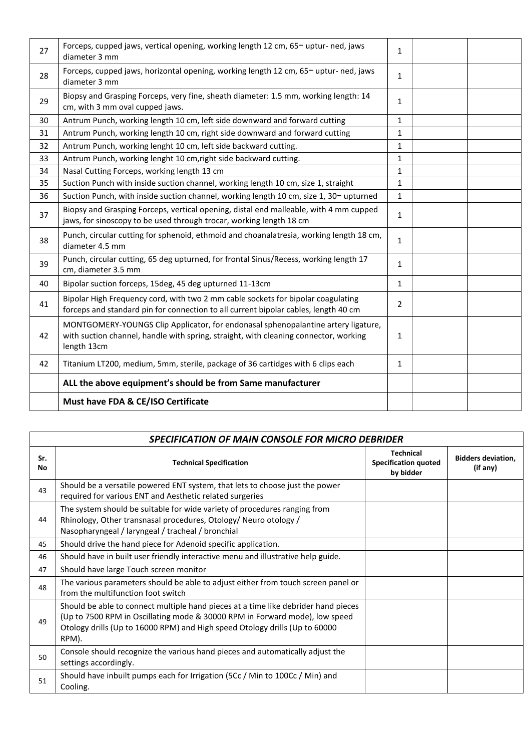| 27 | Forceps, cupped jaws, vertical opening, working length 12 cm, 65-uptur-ned, jaws<br>diameter 3 mm                                                                                        | $\mathbf{1}$   |  |
|----|------------------------------------------------------------------------------------------------------------------------------------------------------------------------------------------|----------------|--|
| 28 | Forceps, cupped jaws, horizontal opening, working length 12 cm, 65-uptur-ned, jaws<br>diameter 3 mm                                                                                      | $\mathbf{1}$   |  |
| 29 | Biopsy and Grasping Forceps, very fine, sheath diameter: 1.5 mm, working length: 14<br>cm, with 3 mm oval cupped jaws.                                                                   | 1              |  |
| 30 | Antrum Punch, working length 10 cm, left side downward and forward cutting                                                                                                               | 1              |  |
| 31 | Antrum Punch, working length 10 cm, right side downward and forward cutting                                                                                                              | $\mathbf{1}$   |  |
| 32 | Antrum Punch, working lenght 10 cm, left side backward cutting.                                                                                                                          | 1              |  |
| 33 | Antrum Punch, working lenght 10 cm, right side backward cutting.                                                                                                                         | $\mathbf{1}$   |  |
| 34 | Nasal Cutting Forceps, working length 13 cm                                                                                                                                              | 1              |  |
| 35 | Suction Punch with inside suction channel, working length 10 cm, size 1, straight                                                                                                        | $\mathbf{1}$   |  |
| 36 | Suction Punch, with inside suction channel, working length 10 cm, size 1, 30- upturned                                                                                                   | $\mathbf{1}$   |  |
| 37 | Biopsy and Grasping Forceps, vertical opening, distal end malleable, with 4 mm cupped<br>jaws, for sinoscopy to be used through trocar, working length 18 cm                             | $\mathbf{1}$   |  |
| 38 | Punch, circular cutting for sphenoid, ethmoid and choanalatresia, working length 18 cm,<br>diameter 4.5 mm                                                                               | $\mathbf{1}$   |  |
| 39 | Punch, circular cutting, 65 deg upturned, for frontal Sinus/Recess, working length 17<br>cm, diameter 3.5 mm                                                                             | $\mathbf{1}$   |  |
| 40 | Bipolar suction forceps, 15deg, 45 deg upturned 11-13cm                                                                                                                                  | $\mathbf{1}$   |  |
| 41 | Bipolar High Frequency cord, with two 2 mm cable sockets for bipolar coagulating<br>forceps and standard pin for connection to all current bipolar cables, length 40 cm                  | $\overline{2}$ |  |
| 42 | MONTGOMERY-YOUNGS Clip Applicator, for endonasal sphenopalantine artery ligature,<br>with suction channel, handle with spring, straight, with cleaning connector, working<br>length 13cm | $\mathbf{1}$   |  |
| 42 | Titanium LT200, medium, 5mm, sterile, package of 36 cartidges with 6 clips each                                                                                                          | 1              |  |
|    | ALL the above equipment's should be from Same manufacturer                                                                                                                               |                |  |
|    | Must have FDA & CE/ISO Certificate                                                                                                                                                       |                |  |

|           | <b>SPECIFICATION OF MAIN CONSOLE FOR MICRO DEBRIDER</b>                                                                                                                                                                                                   |                                                              |                                       |  |  |
|-----------|-----------------------------------------------------------------------------------------------------------------------------------------------------------------------------------------------------------------------------------------------------------|--------------------------------------------------------------|---------------------------------------|--|--|
| Sr.<br>No | <b>Technical Specification</b>                                                                                                                                                                                                                            | <b>Technical</b><br><b>Specification quoted</b><br>by bidder | <b>Bidders deviation,</b><br>(if any) |  |  |
| 43        | Should be a versatile powered ENT system, that lets to choose just the power<br>required for various ENT and Aesthetic related surgeries                                                                                                                  |                                                              |                                       |  |  |
| 44        | The system should be suitable for wide variety of procedures ranging from<br>Rhinology, Other transnasal procedures, Otology/ Neuro otology /<br>Nasopharyngeal / laryngeal / tracheal / bronchial                                                        |                                                              |                                       |  |  |
| 45        | Should drive the hand piece for Adenoid specific application.                                                                                                                                                                                             |                                                              |                                       |  |  |
| 46        | Should have in built user friendly interactive menu and illustrative help guide.                                                                                                                                                                          |                                                              |                                       |  |  |
| 47        | Should have large Touch screen monitor                                                                                                                                                                                                                    |                                                              |                                       |  |  |
| 48        | The various parameters should be able to adjust either from touch screen panel or<br>from the multifunction foot switch                                                                                                                                   |                                                              |                                       |  |  |
| 49        | Should be able to connect multiple hand pieces at a time like debrider hand pieces<br>(Up to 7500 RPM in Oscillating mode & 30000 RPM in Forward mode), low speed<br>Otology drills (Up to 16000 RPM) and High speed Otology drills (Up to 60000<br>RPM). |                                                              |                                       |  |  |
| 50        | Console should recognize the various hand pieces and automatically adjust the<br>settings accordingly.                                                                                                                                                    |                                                              |                                       |  |  |
| 51        | Should have inbuilt pumps each for Irrigation (5Cc / Min to 100Cc / Min) and<br>Cooling.                                                                                                                                                                  |                                                              |                                       |  |  |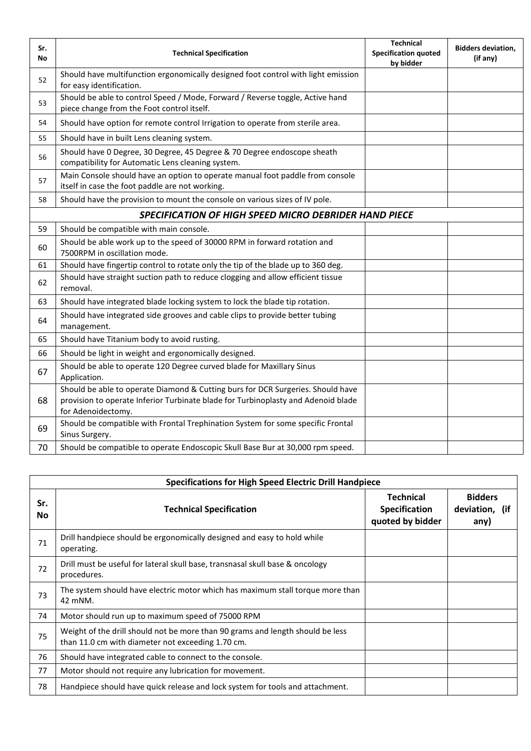| Sr.<br>No | <b>Technical Specification</b>                                                                                                                                                             | <b>Technical</b><br><b>Specification quoted</b><br>by bidder | <b>Bidders deviation,</b><br>(if any) |
|-----------|--------------------------------------------------------------------------------------------------------------------------------------------------------------------------------------------|--------------------------------------------------------------|---------------------------------------|
| 52        | Should have multifunction ergonomically designed foot control with light emission<br>for easy identification.                                                                              |                                                              |                                       |
| 53        | Should be able to control Speed / Mode, Forward / Reverse toggle, Active hand<br>piece change from the Foot control itself.                                                                |                                                              |                                       |
| 54        | Should have option for remote control Irrigation to operate from sterile area.                                                                                                             |                                                              |                                       |
| 55        | Should have in built Lens cleaning system.                                                                                                                                                 |                                                              |                                       |
| 56        | Should have 0 Degree, 30 Degree, 45 Degree & 70 Degree endoscope sheath<br>compatibility for Automatic Lens cleaning system.                                                               |                                                              |                                       |
| 57        | Main Console should have an option to operate manual foot paddle from console<br>itself in case the foot paddle are not working.                                                           |                                                              |                                       |
| 58        | Should have the provision to mount the console on various sizes of IV pole.                                                                                                                |                                                              |                                       |
|           | SPECIFICATION OF HIGH SPEED MICRO DEBRIDER HAND PIECE                                                                                                                                      |                                                              |                                       |
| 59        | Should be compatible with main console.                                                                                                                                                    |                                                              |                                       |
| 60        | Should be able work up to the speed of 30000 RPM in forward rotation and<br>7500RPM in oscillation mode.                                                                                   |                                                              |                                       |
| 61        | Should have fingertip control to rotate only the tip of the blade up to 360 deg.                                                                                                           |                                                              |                                       |
| 62        | Should have straight suction path to reduce clogging and allow efficient tissue<br>removal.                                                                                                |                                                              |                                       |
| 63        | Should have integrated blade locking system to lock the blade tip rotation.                                                                                                                |                                                              |                                       |
| 64        | Should have integrated side grooves and cable clips to provide better tubing<br>management.                                                                                                |                                                              |                                       |
| 65        | Should have Titanium body to avoid rusting.                                                                                                                                                |                                                              |                                       |
| 66        | Should be light in weight and ergonomically designed.                                                                                                                                      |                                                              |                                       |
| 67        | Should be able to operate 120 Degree curved blade for Maxillary Sinus<br>Application.                                                                                                      |                                                              |                                       |
| 68        | Should be able to operate Diamond & Cutting burs for DCR Surgeries. Should have<br>provision to operate Inferior Turbinate blade for Turbinoplasty and Adenoid blade<br>for Adenoidectomy. |                                                              |                                       |
| 69        | Should be compatible with Frontal Trephination System for some specific Frontal<br>Sinus Surgery.                                                                                          |                                                              |                                       |
| 70        | Should be compatible to operate Endoscopic Skull Base Bur at 30,000 rpm speed.                                                                                                             |                                                              |                                       |

| <b>Specifications for High Speed Electric Drill Handpiece</b> |                                                                                                                                     |                                                              |                                          |  |  |
|---------------------------------------------------------------|-------------------------------------------------------------------------------------------------------------------------------------|--------------------------------------------------------------|------------------------------------------|--|--|
| Sr.<br>No.                                                    | <b>Technical Specification</b>                                                                                                      | <b>Technical</b><br><b>Specification</b><br>quoted by bidder | <b>Bidders</b><br>deviation, (if<br>any) |  |  |
| 71                                                            | Drill handpiece should be ergonomically designed and easy to hold while<br>operating.                                               |                                                              |                                          |  |  |
| 72                                                            | Drill must be useful for lateral skull base, transnasal skull base & oncology<br>procedures.                                        |                                                              |                                          |  |  |
| 73                                                            | The system should have electric motor which has maximum stall torque more than<br>42 mNM.                                           |                                                              |                                          |  |  |
| 74                                                            | Motor should run up to maximum speed of 75000 RPM                                                                                   |                                                              |                                          |  |  |
| 75                                                            | Weight of the drill should not be more than 90 grams and length should be less<br>than 11.0 cm with diameter not exceeding 1.70 cm. |                                                              |                                          |  |  |
| 76                                                            | Should have integrated cable to connect to the console.                                                                             |                                                              |                                          |  |  |
| 77                                                            | Motor should not require any lubrication for movement.                                                                              |                                                              |                                          |  |  |
| 78                                                            | Handpiece should have quick release and lock system for tools and attachment.                                                       |                                                              |                                          |  |  |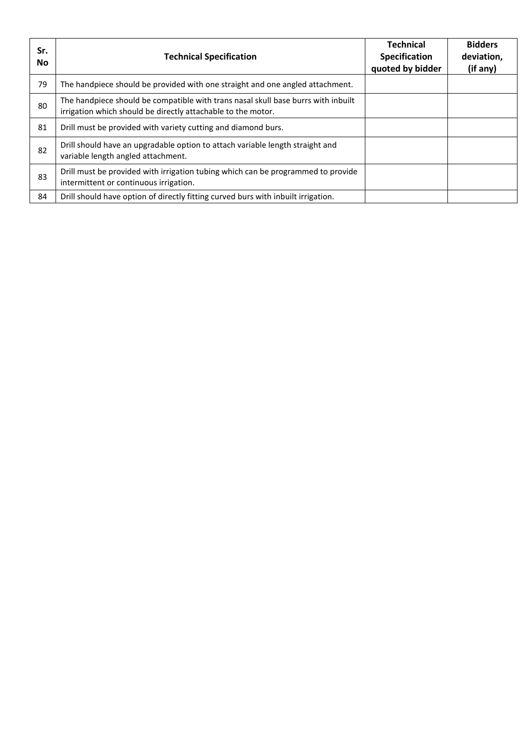| Sr.<br>No. | <b>Technical Specification</b>                                                                                                                    | <b>Technical</b><br><b>Specification</b><br>quoted by bidder | <b>Bidders</b><br>deviation,<br>(if any) |
|------------|---------------------------------------------------------------------------------------------------------------------------------------------------|--------------------------------------------------------------|------------------------------------------|
| 79         | The handpiece should be provided with one straight and one angled attachment.                                                                     |                                                              |                                          |
| 80         | The handpiece should be compatible with trans nasal skull base burrs with inbuilt<br>irrigation which should be directly attachable to the motor. |                                                              |                                          |
| 81         | Drill must be provided with variety cutting and diamond burs.                                                                                     |                                                              |                                          |
| 82         | Drill should have an upgradable option to attach variable length straight and<br>variable length angled attachment.                               |                                                              |                                          |
| 83         | Drill must be provided with irrigation tubing which can be programmed to provide<br>intermittent or continuous irrigation.                        |                                                              |                                          |
| 84         | Drill should have option of directly fitting curved burs with inbuilt irrigation.                                                                 |                                                              |                                          |